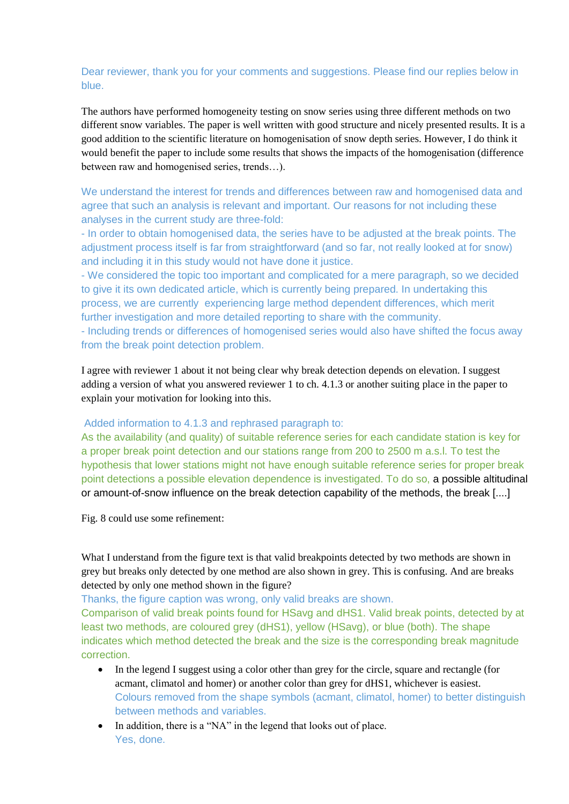# Dear reviewer, thank you for your comments and suggestions. Please find our replies below in blue.

The authors have performed homogeneity testing on snow series using three different methods on two different snow variables. The paper is well written with good structure and nicely presented results. It is a good addition to the scientific literature on homogenisation of snow depth series. However, I do think it would benefit the paper to include some results that shows the impacts of the homogenisation (difference between raw and homogenised series, trends…).

We understand the interest for trends and differences between raw and homogenised data and agree that such an analysis is relevant and important. Our reasons for not including these analyses in the current study are three-fold:

- In order to obtain homogenised data, the series have to be adjusted at the break points. The adjustment process itself is far from straightforward (and so far, not really looked at for snow) and including it in this study would not have done it justice.

- We considered the topic too important and complicated for a mere paragraph, so we decided to give it its own dedicated article, which is currently being prepared. In undertaking this process, we are currently experiencing large method dependent differences, which merit further investigation and more detailed reporting to share with the community.

- Including trends or differences of homogenised series would also have shifted the focus away from the break point detection problem.

I agree with reviewer 1 about it not being clear why break detection depends on elevation. I suggest adding a version of what you answered reviewer 1 to ch. 4.1.3 or another suiting place in the paper to explain your motivation for looking into this.

#### Added information to 4.1.3 and rephrased paragraph to:

As the availability (and quality) of suitable reference series for each candidate station is key for a proper break point detection and our stations range from 200 to 2500 m a.s.l. To test the hypothesis that lower stations might not have enough suitable reference series for proper break point detections a possible elevation dependence is investigated. To do so, a possible altitudinal or amount-of-snow influence on the break detection capability of the methods, the break [....]

Fig. 8 could use some refinement:

What I understand from the figure text is that valid breakpoints detected by two methods are shown in grey but breaks only detected by one method are also shown in grey. This is confusing. And are breaks detected by only one method shown in the figure?

Thanks, the figure caption was wrong, only valid breaks are shown.

Comparison of valid break points found for HSavg and dHS1. Valid break points, detected by at least two methods, are coloured grey (dHS1), yellow (HSavg), or blue (both). The shape indicates which method detected the break and the size is the corresponding break magnitude correction.

- In the legend I suggest using a color other than grey for the circle, square and rectangle (for acmant, climatol and homer) or another color than grey for dHS1, whichever is easiest. Colours removed from the shape symbols (acmant, climatol, homer) to better distinguish between methods and variables.
- In addition, there is a "NA" in the legend that looks out of place. Yes, done.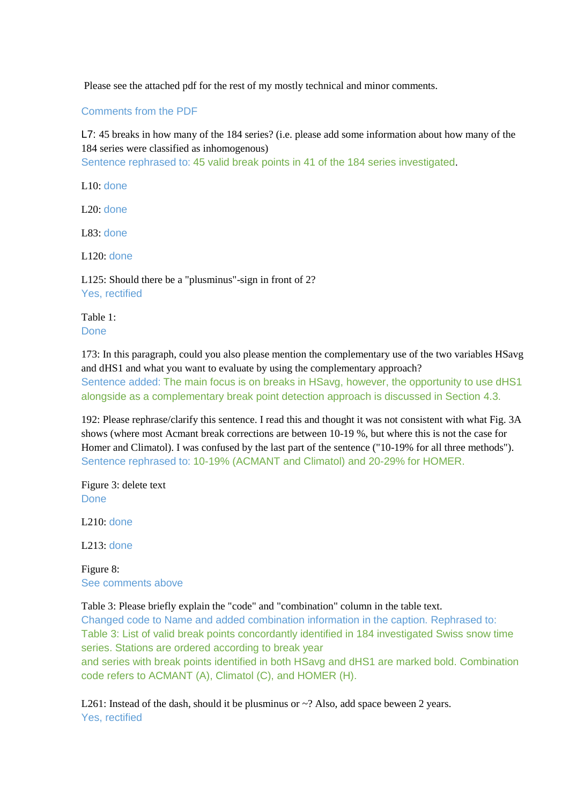Please see the attached pdf for the rest of my mostly technical and minor comments.

Comments from the PDF

L7: 45 breaks in how many of the 184 series? (i.e. please add some information about how many of the 184 series were classified as inhomogenous)

Sentence rephrased to: 45 valid break points in 41 of the 184 series investigated.

L10: done

 $L20:$  done

L83: done

L120: done

L125: Should there be a "plusminus"-sign in front of 2? Yes, rectified

Table 1: Done

173: In this paragraph, could you also please mention the complementary use of the two variables HSavg and dHS1 and what you want to evaluate by using the complementary approach? Sentence added: The main focus is on breaks in HSavg, however, the opportunity to use dHS1 alongside as a complementary break point detection approach is discussed in Section 4.3.

192: Please rephrase/clarify this sentence. I read this and thought it was not consistent with what Fig. 3A shows (where most Acmant break corrections are between 10-19 %, but where this is not the case for Homer and Climatol). I was confused by the last part of the sentence ("10-19% for all three methods"). Sentence rephrased to: 10-19% (ACMANT and Climatol) and 20-29% for HOMER.

Figure 3: delete text Done

 $L210:$  done

L213: done

Figure 8: See comments above

Table 3: Please briefly explain the "code" and "combination" column in the table text.

Changed code to Name and added combination information in the caption. Rephrased to: Table 3: List of valid break points concordantly identified in 184 investigated Swiss snow time series. Stations are ordered according to break year

and series with break points identified in both HSavg and dHS1 are marked bold. Combination code refers to ACMANT (A), Climatol (C), and HOMER (H).

L261: Instead of the dash, should it be plusminus or  $\sim$ ? Also, add space beween 2 years. Yes, rectified